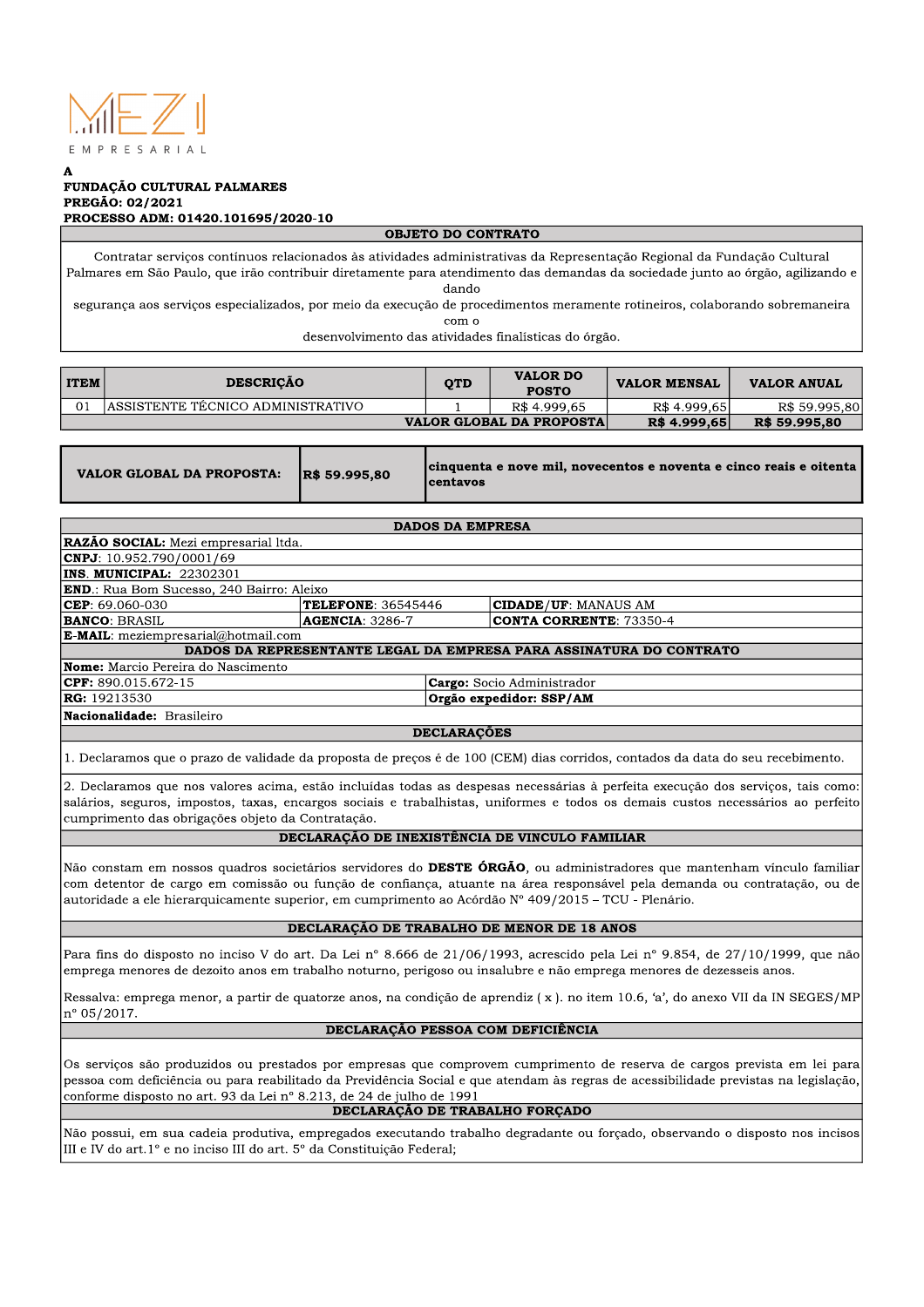

#### A FUNDAÇÃO CULTURAL PALMARES PREGÃO: 02/2021 PROCESSO ADM: 01420.101695/2020-10

#### **OBJETO DO CONTRATO**

Contratar serviços contínuos relacionados às atividades administrativas da Representação Regional da Fundação Cultural Palmares em São Paulo, que irão contribuir diretamente para atendimento das demandas da sociedade junto ao órgão, agilizando e dando

segurança aos serviços especializados, por meio da execução de procedimentos meramente rotineiros, colaborando sobremaneira  $com<sub>o</sub>$ 

desenvolvimento das atividades finalísticas do órgão.

| <b>ITEM</b> | <b>DESCRICÃO</b>                  | <b>OTD</b>   | <b>VALOR DO</b><br><b>POSTO</b> | <b>VALOR MENSAL</b> | <b>VALOR ANUAL</b> |
|-------------|-----------------------------------|--------------|---------------------------------|---------------------|--------------------|
| 01          | ASSISTENTE TÉCNICO ADMINISTRATIVO |              | R\$4.999.65                     | R\$ 4.999.65        | R\$ 59.995.80      |
|             | <b>VALOR GLOBAL DA PROPOSTA</b>   | R\$ 4.999,65 | R\$ 59.995,80                   |                     |                    |

| VALOR GLOBAL DA PROPOSTA: R\$ 59.995,80 |  | cinquenta e nove mil, novecentos e noventa e cinco reais e oitenta<br><b>Icentavos</b> |
|-----------------------------------------|--|----------------------------------------------------------------------------------------|
|-----------------------------------------|--|----------------------------------------------------------------------------------------|

**DADOS DA EMPRESA** 

| <b>RAZÃO SOCIAL:</b> Mezi empresarial ltda.                                                                                     |                        |                                   |                                |  |  |  |
|---------------------------------------------------------------------------------------------------------------------------------|------------------------|-----------------------------------|--------------------------------|--|--|--|
| $\text{CNPJ}: 10.952.790/0001/69$                                                                                               |                        |                                   |                                |  |  |  |
| INS. MUNICIPAL: 22302301                                                                                                        |                        |                                   |                                |  |  |  |
| <b>END</b> .: Rua Bom Sucesso, 240 Bairro: Aleixo                                                                               |                        |                                   |                                |  |  |  |
| $CEP: 69.060-030$                                                                                                               | TELEFONE: 36545446     |                                   | <b>CIDADE/UF: MANAUS AM</b>    |  |  |  |
| BANCO: BRASIL                                                                                                                   | <b>AGENCIA: 3286-7</b> |                                   | <b>CONTA CORRENTE: 73350-4</b> |  |  |  |
| <b>E-MAIL</b> : meziempresarial@hotmail.com                                                                                     |                        |                                   |                                |  |  |  |
| DADOS DA REPRESENTANTE LEGAL DA EMPRESA PARA ASSINATURA DO CONTRATO                                                             |                        |                                   |                                |  |  |  |
| <b>Nome:</b> Marcio Pereira do Nascimento                                                                                       |                        |                                   |                                |  |  |  |
| $CPF: 890.015.672-15$                                                                                                           |                        | <b>Cargo:</b> Socio Administrador |                                |  |  |  |
| RG: 19213530                                                                                                                    |                        | Orgão expedidor: SSP/AM           |                                |  |  |  |
| Nacionalidade: Brasileiro                                                                                                       |                        |                                   |                                |  |  |  |
| <b>DECLARAÇÕES</b>                                                                                                              |                        |                                   |                                |  |  |  |
| 1. Declaramos que o prazo de validade da proposta de preços é de 100 (CEM) dias corridos, contados da data do seu recebimento.  |                        |                                   |                                |  |  |  |
| 2. Declaramos que nos valores acima, estão incluídas todas as despesas necessárias à perfeita execução dos serviços, tais como: |                        |                                   |                                |  |  |  |

salários, seguros, impostos, taxas, encargos sociais e trabalhistas, uniformes e todos os demais custos necessários ao perfeito cumprimento das obrigações objeto da Contratação.

#### DECLARAÇÃO DE INEXISTÊNCIA DE VINCULO FAMILIAR

Não constam em nossos quadros societários servidores do **DESTE ÓRGÃO**, ou administradores que mantenham vínculo familiar com detentor de cargo em comissão ou função de confiança, atuante na área responsável pela demanda ou contratação, ou de autoridade a ele hierarquicamente superior, em cumprimento ao Acórdão N° 409/2015 – TCU - Plenário.

#### DECLARAÇÃO DE TRABALHO DE MENOR DE 18 ANOS

Para fins do disposto no inciso V do art. Da Lei nº 8.666 de 21/06/1993, acrescido pela Lei nº 9.854, de 27/10/1999, que não emprega menores de dezoito anos em trabalho noturno, perigoso ou insalubre e não emprega menores de dezesseis anos.

Ressalva: emprega menor, a partir de quatorze anos, na condição de aprendiz (x). no item 10.6, 'a', do anexo VII da IN SEGES/MP  $|n^{\circ} 05/2017.$ 

## DECLARAÇÃO PESSOA COM DEFICIÊNCIA

Os servicos são produzidos ou prestados por empresas que comprovem cumprimento de reserva de cargos prevista em lei para pessoa com deficiência ou para reabilitado da Previdência Social e que atendam às regras de acessibilidade previstas na legislação, conforme disposto no art. 93 da Lei nº 8.213, de 24 de julho de 1991

# DECLARAÇÃO DE TRABALHO FORÇADO

Não possui, em sua cadeia produtiva, empregados executando trabalho degradante ou forcado, observando o disposto nos incisos III e IV do art.1º e no inciso III do art. 5º da Constituição Federal;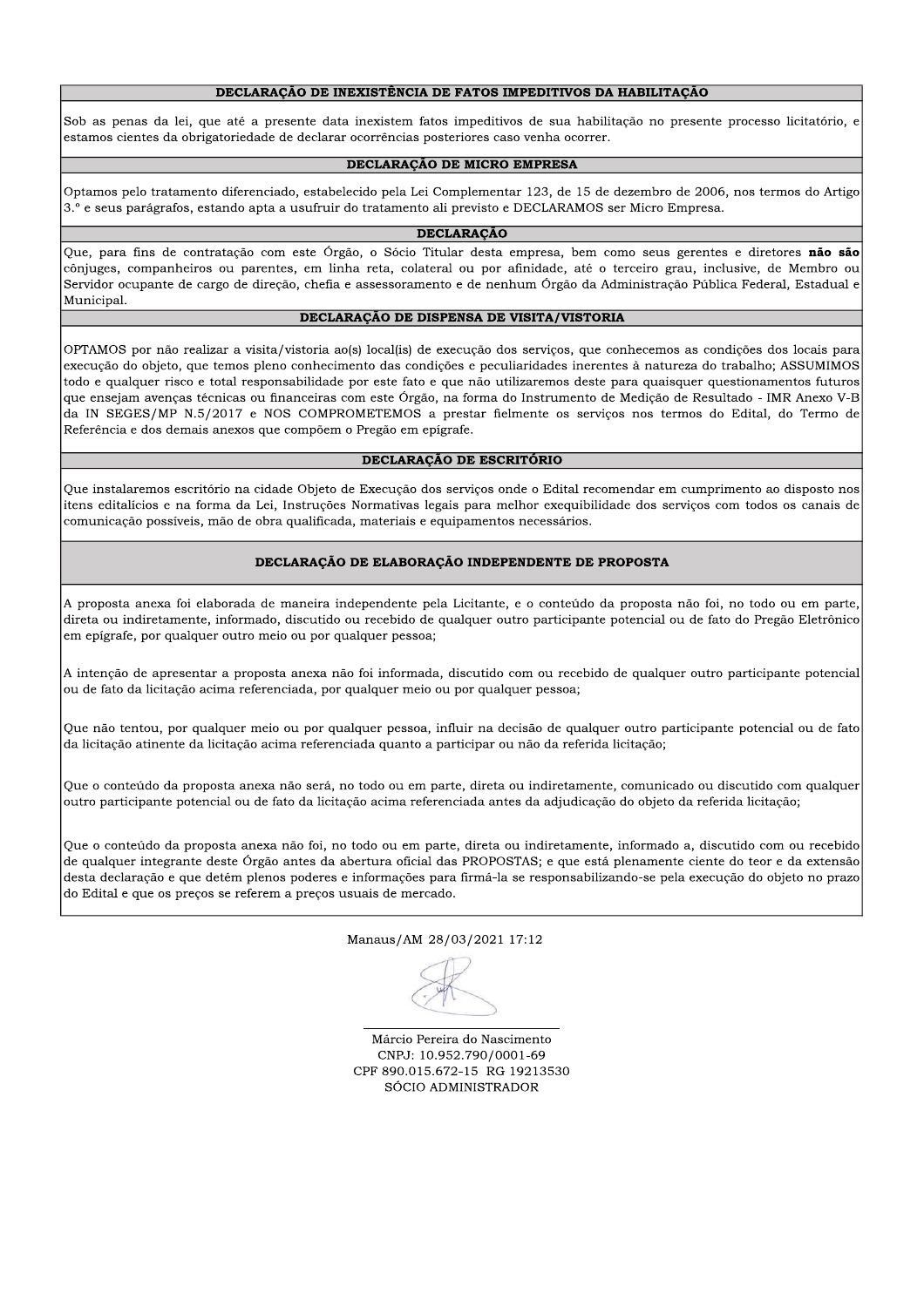## DECLARAÇÃO DE INEXISTÊNCIA DE FATOS IMPEDITIVOS DA HABILITAÇÃO

Sob as penas da lei, que até a presente data inexistem fatos impeditivos de sua habilitação no presente processo licitatório, e estamos cientes da obrigatoriedade de declarar ocorrências posteriores caso venha ocorrer.

## DECLARAÇÃO DE MICRO EMPRESA

Optamos pelo tratamento diferenciado, estabelecido pela Lei Complementar 123, de 15 de dezembro de 2006, nos termos do Artigo 3.º e seus parágrafos, estando apta a usufruir do tratamento ali previsto e DECLARAMOS ser Micro Empresa.

### **DECLARAÇÃO**

Que, para fins de contratação com este Órgão, o Sócio Titular desta empresa, bem como seus gerentes e diretores não são cônjuges, companheiros ou parentes, em linha reta, colateral ou por afinidade, até o terceiro grau, inclusive, de Membro ou Servidor ocupante de cargo de direção, chefia e assessoramento e de nenhum Órgão da Administração Pública Federal, Estadual e Municipal.

### DECLARAÇÃO DE DISPENSA DE VISITA/VISTORIA

OPTAMOS por não realizar a visita/vistoria ao(s) local(is) de execução dos serviços, que conhecemos as condições dos locais para execução do objeto, que temos pleno conhecimento das condições e peculiaridades inerentes à natureza do trabalho; ASSUMIMOS todo e qualquer risco e total responsabilidade por este fato e que não utilizaremos deste para quaisquer questionamentos futuros que ensejam avenças técnicas ou financeiras com este Órgão, na forma do Instrumento de Medição de Resultado - IMR Anexo V-B da IN SEGES/MP N.5/2017 e NOS COMPROMETEMOS a prestar fielmente os serviços nos termos do Edital, do Termo de Referência e dos demais anexos que compõem o Pregão em epígrafe.

### DECLARAÇÃO DE ESCRITÓRIO

Oue instalaremos escritório na cidade Obieto de Execução dos servicos onde o Edital recomendar em cumprimento ao disposto nos itens editalícios e na forma da Lei, Instruções Normativas legais para melhor exequibilidade dos serviços com todos os canais de comunicação possíveis, mão de obra qualificada, materiais e equipamentos necessários.

### DECLARAÇÃO DE ELABORAÇÃO INDEPENDENTE DE PROPOSTA

A proposta anexa foi elaborada de maneira independente pela Licitante, e o conteúdo da proposta não foi, no todo ou em parte, direta ou indiretamente, informado, discutido ou recebido de qualquer outro participante potencial ou de fato do Pregão Eletrônico em epígrafe, por qualquer outro meio ou por qualquer pessoa;

A intenção de apresentar a proposta anexa não foi informada, discutido com ou recebido de qualquer outro participante potencial ou de fato da licitação acima referenciada, por qualquer meio ou por qualquer pessoa;

Que não tentou, por qualquer meio ou por qualquer pessoa, influir na decisão de qualquer outro participante potencial ou de fato da licitação atinente da licitação acima referenciada quanto a participar ou não da referida licitação;

Que o conteúdo da proposta anexa não será, no todo ou em parte, direta ou indiretamente, comunicado ou discutido com qualquer outro participante potencial ou de fato da licitação acima referenciada antes da adjudicação do objeto da referida licitação;

Que o conteúdo da proposta anexa não foi, no todo ou em parte, direta ou indiretamente, informado a, discutido com ou recebido de qualquer integrante deste Órgão antes da abertura oficial das PROPOSTAS; e que está plenamente ciente do teor e da extensão desta declaração e que detém plenos poderes e informações para firmá-la se responsabilizando-se pela execução do objeto no prazo do Edital e que os preços se referem a preços usuais de mercado.

Manaus/AM 28/03/2021 17:12

Márcio Pereira do Nascimento CNPJ: 10.952.790/0001-69 CPF 890.015.672-15 RG 19213530 SÓCIO ADMINISTRADOR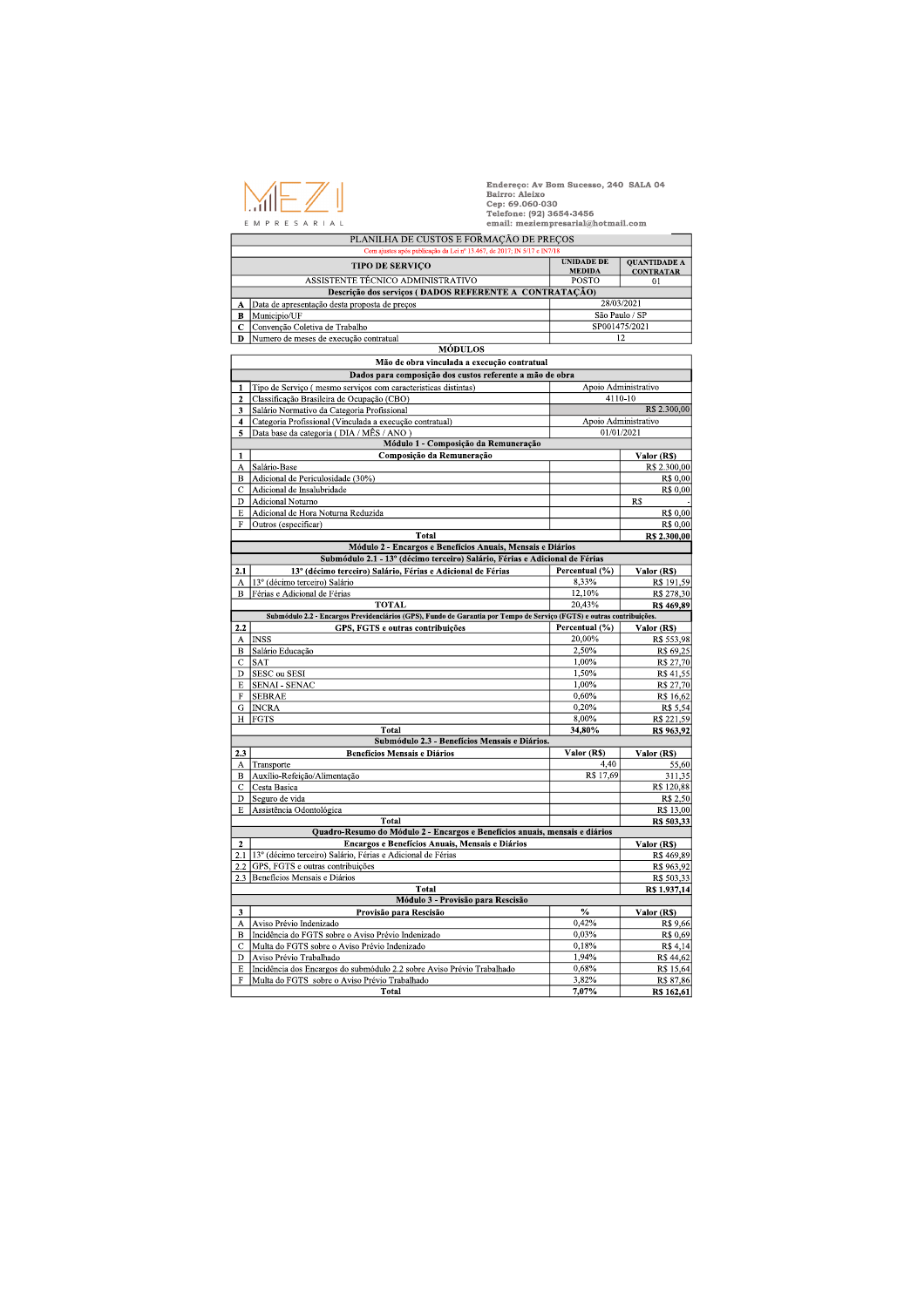

Endereco: Ay Bom Sucesso, 240 SALA 04 Bairro: Aleixo Cep: 69.060-030<br>Telefone: (92) 3654-3456 email: meziempresarial@hotmail.com

PLANILHA DE CUSTOS E FORMAÇÃO DE PREÇOS **INIDADE DE QUANTIDADE A TIPO DE SERVIÇO MEDIDA CONTRATAR** ASSISTENTE TÉCNICO ADMINISTRATIVO **POSTO**  $\overline{01}$ Descrição dos serviços (DADOS REFERENTE A CONTRATAÇÃO) 28/03/2021 A Data de apresentação desta proposta de preços São Paulo / SP **B** Municipio/UF SP001475/2021 C Convenção Coletiva de Trabalho D Numero de meses de execução contratual  $\overline{12}$ **MÓDULOS** Mão de obra vinculada a execução contratual Dados para composição dos custos referente a mão de obra Apoio Administrativo 1 Tipo de Serviço (mesmo serviços com características distintas) 2 Classificação Brasileira de Ocupação (CBO)<br>3 Salário Normativo da Categoria Profissional 4110-10 R\$ 2.300,00 4 Categoria Profissional (Vinculada a execução contratual) Apoio Administrativo 01/01/2021 5 Data base da categoria (DIA / MÊS / ANO) Módulo 1 - Composição da Remuneração **Valor (RS)**<br>R\$ 2.300,00  $\overline{1}$ Composição da Remuneração A Salário-Base B Adicional de Periculosidade (30%) R\$ 0,00 C Adicional de Insalubridade R\$ 0.00 D Adicional Noturno  $\overline{RS}$ E Adicional de Hora Noturna Reduzida **R\$ 0.00**  $F$  Outros (especificar) R\$ 0.00 Total R\$ 2.300,00 Módulo 2 - Encargos e Benefícios Anuais, Mensais e Diários Submódulo 2.1 - 13º (décimo terceiro) Salário, Férias e Adicional de Férias Percentual (%)  $\overline{\text{Valor}(RS)}$  $\boxed{2.1}$ 13° (décimo terceiro) Salário, Férias e Adicional de Férias A 13<sup>°</sup> (décimo terceiro) Salário<br>B Férias e Adicional de Férias R\$ 191,59 8 3 3 %  $12,10%$ R\$ 278.30 **TOTAL**  $20.43%$ R\$ 469,89 Submódulo 2.2 - Encargos Previdenciários (GPS), Fundo de Garantia por Tempo de S ço (FGTS) e outras  $2.2$ GPS, FGTS e outras contribuições Percentual (%)  $Valor(RS)$ A INSS 20,00% R\$ 553,98 B Salário Educação 2.50% R\$ 69.25  $\overline{C}$  SAT  $1,00\%$ R\$ 27,70 D SESC ou SESI 1.50% R\$ 41,55  $1,00\%$ E SENAI - SENAC R\$ 27,70  $R$16,62$ F SEBRAE  $0,60%$ G INCRA 0,20% R\$ 5,54 H FGTS  $8,00%$ R\$ 221,59 Total 34,80% R\$ 963,92 Submódulo 2.3 - Benefícios Mensais e Diários  $\overline{2.3}$ **Benefícios Mensais e Diários**  $Value(RS)$  $Valor(RS)$ A Transporte<br>B Auxílio-Refeição/Alimentação  $\frac{55,60}{311,35}$  $4.40$  $\frac{1}{17,69}$ R\$ 120,88 C Cesta Basica D Seguro de vida R\$ 2,50 E Assistência Odontológica R\$ 13,00 Total R\$ 503,33 Quadro-Resumo do Módulo 2 - Encargos e Benefícios anuais, mensais e diários Encargos e Benefícios Anuais, Mensais e Diários Valor (RS)  $\overline{\mathbf{2}}$ 2.1 13<sup>°</sup> (décimo terceiro) Salário, Férias e Adicional de Férias R\$ 469,89 2.2 GPS, FGTS e outras contribuições R\$ 963,92 2.3 Beneficios Mensais e Diários R\$ 503.33 Total R\$ 1.937,14 Módulo 3 - Provisão para Rescisão  $\overline{\frac{9}{6}}$ Valor (RS)  $\overline{3}$ Provisão para Rescisão A Aviso Prévio Indenizado  $0,42%$ R\$ 9,66 B Incidência do FGTS sobre o Aviso Prévio Indenizado<br>C Multa do FGTS sobre o Aviso Prévio Indenizado 0.03% R\$0.69  $0,18%$ R\$ 4.14 D Aviso Prévio Trabalhado  $1,94%$ R\$ 44,62 Incidência dos Encargos do submódulo 2.2 sobre Aviso Prévio Trabalhado  $E$ 0.68% R\$ 15.64  $3,82%$ F Multa do FGTS sobre o Aviso Prévio Trabalhado R\$ 87,86 **Total**  $7,07%$ R\$ 162,61